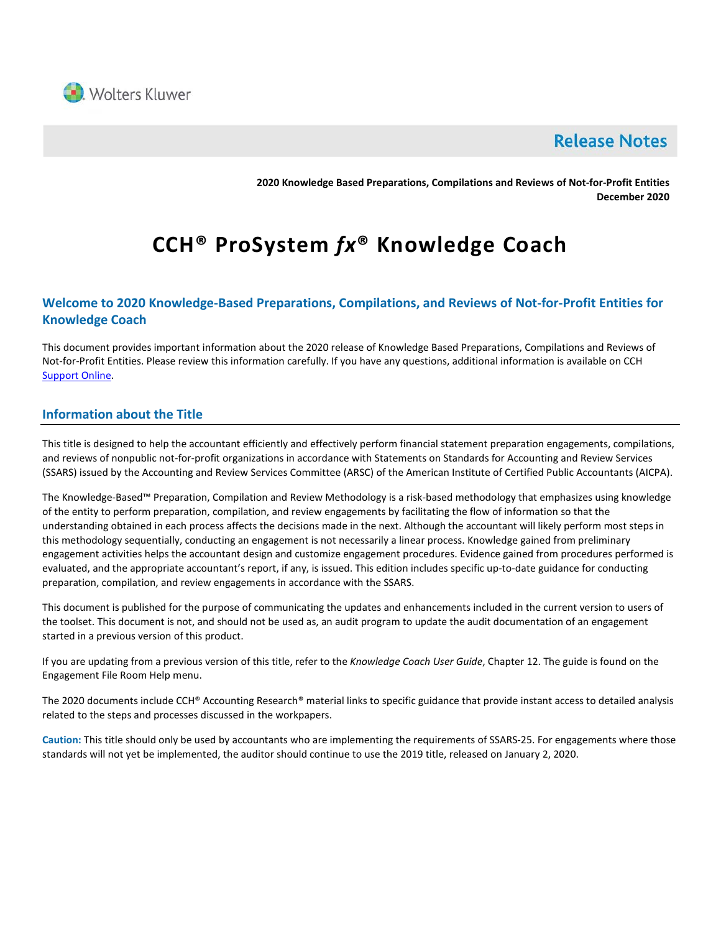

## **Release Notes**

**2020 Knowledge Based Preparations, Compilations and Reviews of Not-for-Profit Entities December 2020**

# **CCH® ProSystem** *fx***® Knowledge Coach**

## **Welcome to 2020 Knowledge-Based Preparations, Compilations, and Reviews of Not-for-Profit Entities for Knowledge Coach**

This document provides important information about the 2020 release of Knowledge Based Preparations, Compilations and Reviews of Not-for-Profit Entities. Please review this information carefully. If you have any questions, additional information is available on CCH [Support Online.](http://support.cch.com/productsupport/)

## **Information about the Title**

This title is designed to help the accountant efficiently and effectively perform financial statement preparation engagements, compilations, and reviews of nonpublic not-for-profit organizations in accordance with Statements on Standards for Accounting and Review Services (SSARS) issued by the Accounting and Review Services Committee (ARSC) of the American Institute of Certified Public Accountants (AICPA).

The Knowledge-Based™ Preparation, Compilation and Review Methodology is a risk-based methodology that emphasizes using knowledge of the entity to perform preparation, compilation, and review engagements by facilitating the flow of information so that the understanding obtained in each process affects the decisions made in the next. Although the accountant will likely perform most steps in this methodology sequentially, conducting an engagement is not necessarily a linear process. Knowledge gained from preliminary engagement activities helps the accountant design and customize engagement procedures. Evidence gained from procedures performed is evaluated, and the appropriate accountant's report, if any, is issued. This edition includes specific up-to-date guidance for conducting preparation, compilation, and review engagements in accordance with the SSARS.

This document is published for the purpose of communicating the updates and enhancements included in the current version to users of the toolset. This document is not, and should not be used as, an audit program to update the audit documentation of an engagement started in a previous version of this product.

If you are updating from a previous version of this title, refer to the *Knowledge Coach User Guide*, Chapter 12. The guide is found on the Engagement File Room Help menu.

The 2020 documents include CCH® Accounting Research® material links to specific guidance that provide instant access to detailed analysis related to the steps and processes discussed in the workpapers.

**Caution:** This title should only be used by accountants who are implementing the requirements of SSARS-25. For engagements where those standards will not yet be implemented, the auditor should continue to use the 2019 title, released on January 2, 2020.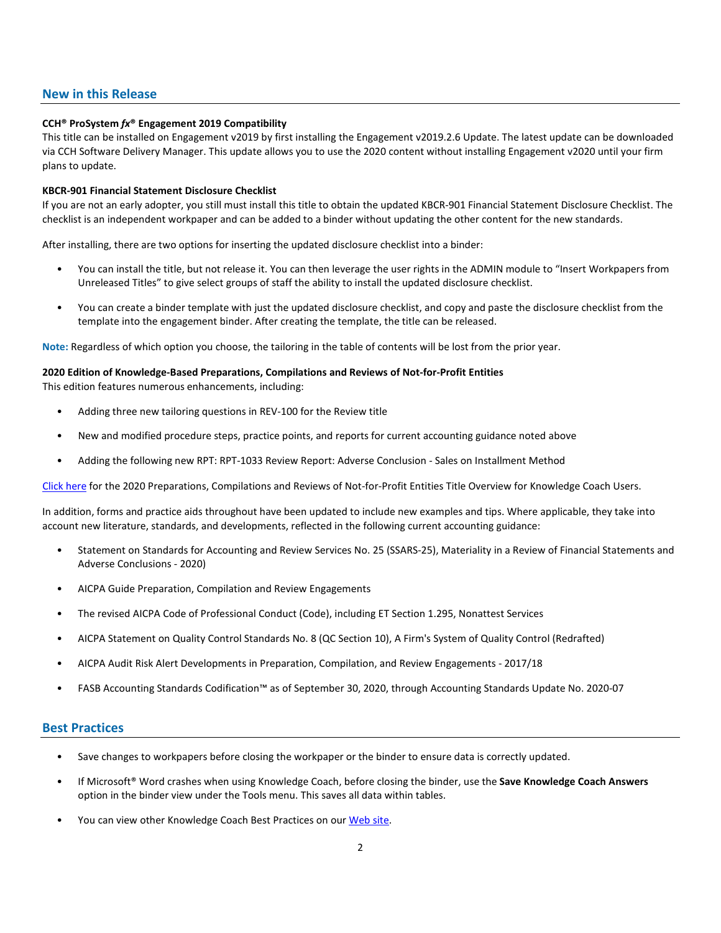#### **New in this Release**

#### **CCH® ProSystem** *fx***® Engagement 2019 Compatibility**

This title can be installed on Engagement v2019 by first installing the Engagement v2019.2.6 Update. The latest update can be downloaded via CCH Software Delivery Manager. This update allows you to use the 2020 content without installing Engagement v2020 until your firm plans to update.

#### **KBCR-901 Financial Statement Disclosure Checklist**

If you are not an early adopter, you still must install this title to obtain the updated KBCR-901 Financial Statement Disclosure Checklist. The checklist is an independent workpaper and can be added to a binder without updating the other content for the new standards.

After installing, there are two options for inserting the updated disclosure checklist into a binder:

- You can install the title, but not release it. You can then leverage the user rights in the ADMIN module to "Insert Workpapers from Unreleased Titles" to give select groups of staff the ability to install the updated disclosure checklist.
- You can create a binder template with just the updated disclosure checklist, and copy and paste the disclosure checklist from the template into the engagement binder. After creating the template, the title can be released.

**Note:** Regardless of which option you choose, the tailoring in the table of contents will be lost from the prior year.

#### **2020 Edition of Knowledge-Based Preparations, Compilations and Reviews of Not-for-Profit Entities**

This edition features numerous enhancements, including:

- Adding three new tailoring questions in REV-100 for the Review title
- New and modified procedure steps, practice points, and reports for current accounting guidance noted above
- Adding the following new RPT: RPT-1033 Review Report: Adverse Conclusion Sales on Installment Method

[Click here](http://support.cch.com/updates/KnowledgeCoach/pdf/guides_tab/2020%20Not-For-Profit%20Entities%20PCR%20Title%20Overview%20for%20Knowledge%20Coach%20Users.pdf) for the 2020 Preparations, Compilations and Reviews of Not-for-Profit Entities Title Overview for Knowledge Coach Users.

In addition, forms and practice aids throughout have been updated to include new examples and tips. Where applicable, they take into account new literature, standards, and developments, reflected in the following current accounting guidance:

- Statement on Standards for Accounting and Review Services No. 25 (SSARS-25), Materiality in a Review of Financial Statements and Adverse Conclusions - 2020)
- AICPA Guide Preparation, Compilation and Review Engagements
- The revised AICPA Code of Professional Conduct (Code), including ET Section 1.295, Nonattest Services
- AICPA Statement on Quality Control Standards No. 8 (QC Section 10), A Firm's System of Quality Control (Redrafted)
- AICPA Audit Risk Alert Developments in Preparation, Compilation, and Review Engagements 2017/18
- FASB Accounting Standards Codification™ as of September 30, 2020, through Accounting Standards Update No. 2020-07

#### **Best Practices**

- Save changes to workpapers before closing the workpaper or the binder to ensure data is correctly updated.
- If Microsoft® Word crashes when using Knowledge Coach, before closing the binder, use the **Save Knowledge Coach Answers** option in the binder view under the Tools menu. This saves all data within tables.
- You can view other Knowledge Coach Best Practices on ou[r Web](https://support.cch.com/kb/solution/000034942/sw34947) site.